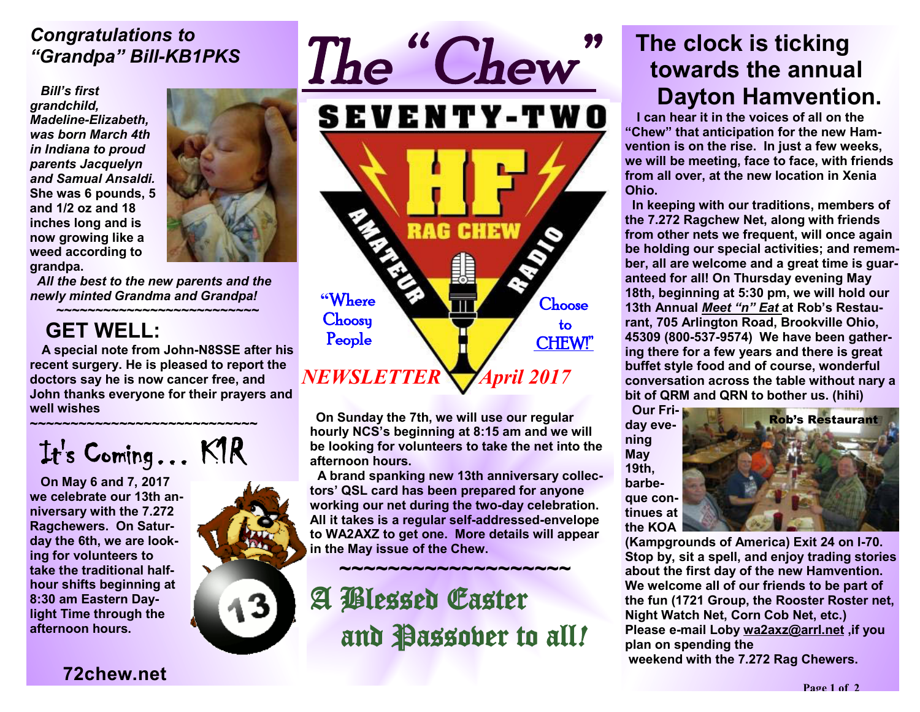### *Congratulations to "Grandpa" Bill-KB1PKS*

*Bill's first grandchild, Madeline-Elizabeth, was born March 4th in Indiana to proud parents Jacquelyn and Samual Ansaldi.*  **She was 6 pounds, 5 and 1/2 oz and 18 inches long and is now growing like a weed according to grandpa.**



 *All the best to the new parents and the newly minted Grandma and Grandpa!* 

#### *~~~~~~~~~~~~~~~~~~~~~~~~~~*   **GET WELL:**

 **A special note from John-N8SSE after his recent surgery. He is pleased to report the doctors say he is now cancer free, and John thanks everyone for their prayers and well wishes**

**~~~~~~~~~~~~~~~~~~~~~~~~~~~~** 

It' s Coming… K1R

 **On May 6 and 7, 2017 we celebrate our 13th anniversary with the 7.272 Ragchewers. On Saturday the 6th, we are looking for volunteers to take the traditional halfhour shifts beginning at 8:30 am Eastern Daylight Time through the afternoon hours.** 





**On Sunday the 7th, we will use our regular hourly NCS's beginning at 8:15 am and we will be looking for volunteers to take the net into the afternoon hours.** 

**A brand spanking new 13th anniversary collectors' QSL card has been prepared for anyone working our net during the two-day celebration. All it takes is a regular self-addressed-envelope to WA2AXZ to get one. More details will appear in the May issue of the Chew.**

 $\sim$   $\sim$   $\sim$   $\sim$   $\sim$   $\sim$   $\sim$ 

A Blessed Easter and Passover to all*!* 

# **The clock is ticking towards the annual Dayton Hamvention.**

 **I can hear it in the voices of all on the "Chew" that anticipation for the new Hamvention is on the rise. In just a few weeks, we will be meeting, face to face, with friends from all over, at the new location in Xenia Ohio.** 

**In keeping with our traditions, members of the 7.272 Ragchew Net, along with friends from other nets we frequent, will once again be holding our special activities; and remember, all are welcome and a great time is guaranteed for all! On Thursday evening May 18th, beginning at 5:30 pm, we will hold our 13th Annual** *Meet "n" Eat* **at Rob's Restaurant, 705 Arlington Road, Brookville Ohio, 45309 (800-537-9574) We have been gathering there for a few years and there is great buffet style food and of course, wonderful conversation across the table without nary a bit of QRM and QRN to bother us. (hihi)** 

**day evening May 19th, barbeque continues at the KOA** 



**(Kampgrounds of America) Exit 24 on I-70. Stop by, sit a spell, and enjoy trading stories about the first day of the new Hamvention. We welcome all of our friends to be part of the fun (1721 Group, the Rooster Roster net, Night Watch Net, Corn Cob Net, etc.) Please e-mail Loby wa2axz@arrl.net ,if you plan on spending the weekend with the 7.272 Rag Chewers.**

### **72chew.net**